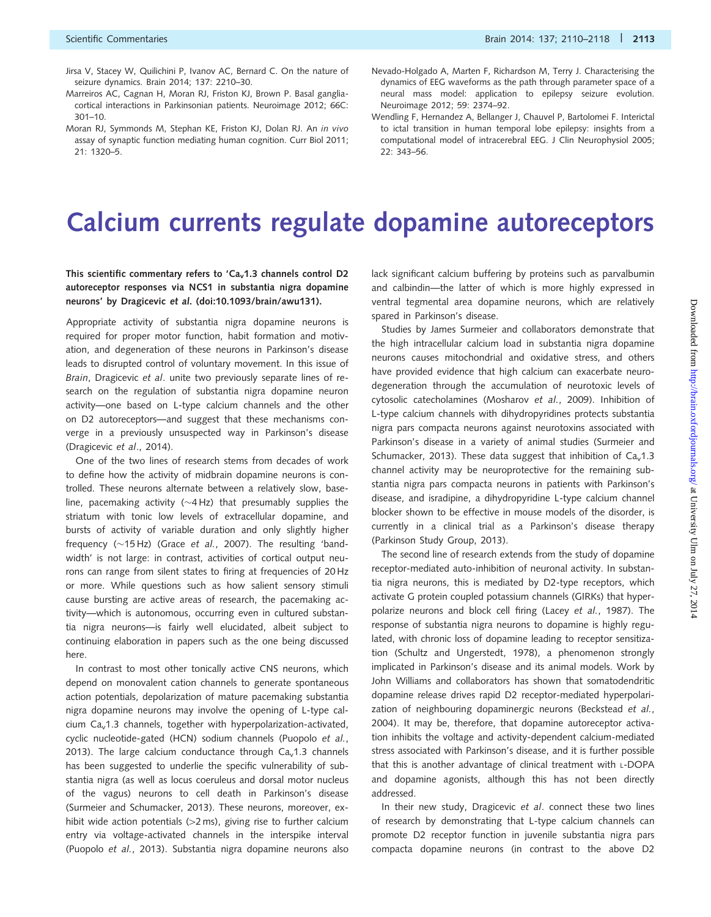- Jirsa V, Stacey W, Quilichini P, Ivanov AC, Bernard C. On the nature of seizure dynamics. Brain 2014; 137: 2210–30.
- Marreiros AC, Cagnan H, Moran RJ, Friston KJ, Brown P. Basal gangliacortical interactions in Parkinsonian patients. Neuroimage 2012; 66C: 301–10.
- Moran RJ, Symmonds M, Stephan KE, Friston KJ, Dolan RJ. An in vivo assay of synaptic function mediating human cognition. Curr Biol 2011; 21: 1320–5.
- Nevado-Holgado A, Marten F, Richardson M, Terry J. Characterising the dynamics of EEG waveforms as the path through parameter space of a neural mass model: application to epilepsy seizure evolution. Neuroimage 2012; 59: 2374–92.
- Wendling F, Hernandez A, Bellanger J, Chauvel P, Bartolomei F. Interictal to ictal transition in human temporal lobe epilepsy: insights from a computational model of intracerebral EEG. J Clin Neurophysiol 2005; 22: 343–56.

## Calcium currents regulate dopamine autoreceptors

## This scientific commentary refers to 'Ca<sub>v</sub>1.3 channels control D2 autoreceptor responses via NCS1 in substantia nigra dopamine neurons' by Dragicevic et al. (doi:10.1093/brain/awu131).

Appropriate activity of substantia nigra dopamine neurons is required for proper motor function, habit formation and motivation, and degeneration of these neurons in Parkinson's disease leads to disrupted control of voluntary movement. In this issue of Brain, Dragicevic et al. unite two previously separate lines of research on the regulation of substantia nigra dopamine neuron activity—one based on L-type calcium channels and the other on D2 autoreceptors—and suggest that these mechanisms converge in a previously unsuspected way in Parkinson's disease ([Dragicevic](#page-1-0) et al., 2014).

One of the two lines of research stems from decades of work to define how the activity of midbrain dopamine neurons is controlled. These neurons alternate between a relatively slow, baseline, pacemaking activity ( $\sim$ 4Hz) that presumably supplies the striatum with tonic low levels of extracellular dopamine, and bursts of activity of variable duration and only slightly higher frequency  $(\sim 15$  Hz) (Grace *et al.*[, 2007\)](#page-1-0). The resulting 'bandwidth' is not large: in contrast, activities of cortical output neurons can range from silent states to firing at frequencies of 20 Hz or more. While questions such as how salient sensory stimuli cause bursting are active areas of research, the pacemaking activity—which is autonomous, occurring even in cultured substantia nigra neurons—is fairly well elucidated, albeit subject to continuing elaboration in papers such as the one being discussed here.

In contrast to most other tonically active CNS neurons, which depend on monovalent cation channels to generate spontaneous action potentials, depolarization of mature pacemaking substantia nigra dopamine neurons may involve the opening of L-type calcium  $Ca<sub>v</sub>1.3$  channels, together with hyperpolarization-activated, cyclic nucleotide-gated (HCN) sodium channels [\(Puopolo](#page-2-0) et al., [2013](#page-2-0)). The large calcium conductance through  $Ca<sub>v</sub>1.3$  channels has been suggested to underlie the specific vulnerability of substantia nigra (as well as locus coeruleus and dorsal motor nucleus of the vagus) neurons to cell death in Parkinson's disease ([Surmeier and Schumacker, 2013](#page-2-0)). These neurons, moreover, exhibit wide action potentials  $(>2 \text{ ms})$ , giving rise to further calcium entry via voltage-activated channels in the interspike interval ([Puopolo](#page-2-0) et al., 2013). Substantia nigra dopamine neurons also lack significant calcium buffering by proteins such as parvalbumin and calbindin—the latter of which is more highly expressed in ventral tegmental area dopamine neurons, which are relatively spared in Parkinson's disease.

Studies by James Surmeier and collaborators demonstrate that the high intracellular calcium load in substantia nigra dopamine neurons causes mitochondrial and oxidative stress, and others have provided evidence that high calcium can exacerbate neurodegeneration through the accumulation of neurotoxic levels of cytosolic catecholamines ([Mosharov](#page-1-0) et al., 2009). Inhibition of L-type calcium channels with dihydropyridines protects substantia nigra pars compacta neurons against neurotoxins associated with Parkinson's disease in a variety of animal studies ([Surmeier and](#page-2-0) [Schumacker, 2013](#page-2-0)). These data suggest that inhibition of  $Ca<sub>v</sub>1.3$ channel activity may be neuroprotective for the remaining substantia nigra pars compacta neurons in patients with Parkinson's disease, and isradipine, a dihydropyridine L-type calcium channel blocker shown to be effective in mouse models of the disorder, is currently in a clinical trial as a Parkinson's disease therapy [\(Parkinson Study Group, 2013](#page-2-0)).

The second line of research extends from the study of dopamine receptor-mediated auto-inhibition of neuronal activity. In substantia nigra neurons, this is mediated by D2-type receptors, which activate G protein coupled potassium channels (GIRKs) that hyperpolarize neurons and block cell firing (Lacey et al.[, 1987](#page-1-0)). The response of substantia nigra neurons to dopamine is highly regulated, with chronic loss of dopamine leading to receptor sensitization [\(Schultz and Ungerstedt, 1978\)](#page-2-0), a phenomenon strongly implicated in Parkinson's disease and its animal models. Work by John Williams and collaborators has shown that somatodendritic dopamine release drives rapid D2 receptor-mediated hyperpolari-zation of neighbouring dopaminergic neurons [\(Beckstead](#page-1-0) et al., [2004](#page-1-0)). It may be, therefore, that dopamine autoreceptor activation inhibits the voltage and activity-dependent calcium-mediated stress associated with Parkinson's disease, and it is further possible that this is another advantage of clinical treatment with L-DOPA and dopamine agonists, although this has not been directly addressed.

In their new study, Dragicevic et al. connect these two lines of research by demonstrating that L-type calcium channels can promote D2 receptor function in juvenile substantia nigra pars compacta dopamine neurons (in contrast to the above D2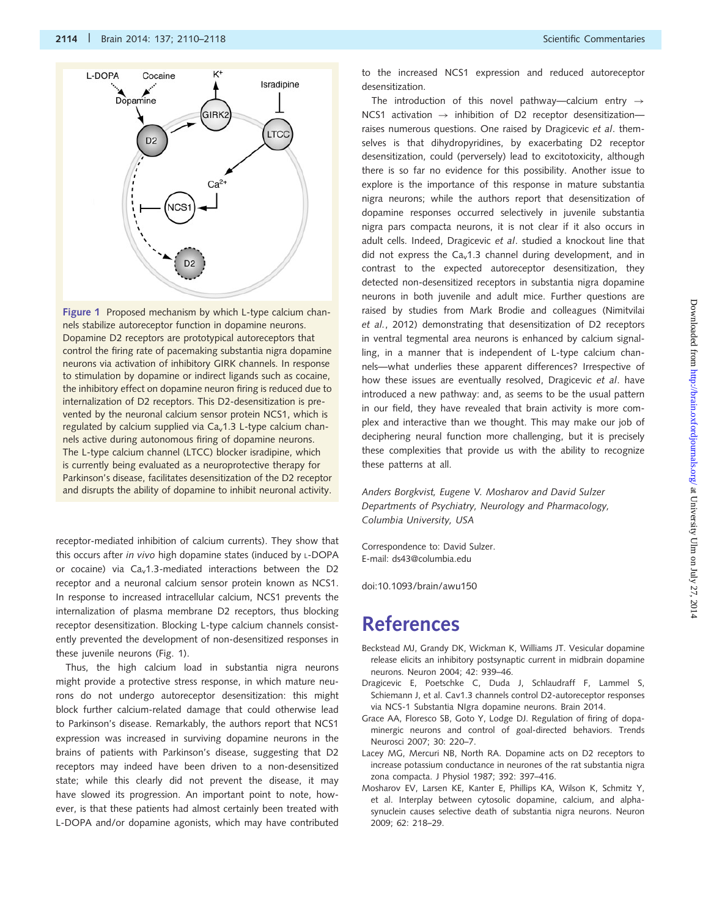<span id="page-1-0"></span>

Figure 1 Proposed mechanism by which L-type calcium channels stabilize autoreceptor function in dopamine neurons. Dopamine D2 receptors are prototypical autoreceptors that control the firing rate of pacemaking substantia nigra dopamine neurons via activation of inhibitory GIRK channels. In response to stimulation by dopamine or indirect ligands such as cocaine, the inhibitory effect on dopamine neuron firing is reduced due to internalization of D2 receptors. This D2-desensitization is prevented by the neuronal calcium sensor protein NCS1, which is regulated by calcium supplied via  $Ca<sub>v</sub>1.3$  L-type calcium channels active during autonomous firing of dopamine neurons. The L-type calcium channel (LTCC) blocker isradipine, which is currently being evaluated as a neuroprotective therapy for Parkinson's disease, facilitates desensitization of the D2 receptor and disrupts the ability of dopamine to inhibit neuronal activity.

receptor-mediated inhibition of calcium currents). They show that this occurs after in vivo high dopamine states (induced by L-DOPA or cocaine) via  $Ca<sub>v</sub>1.3$ -mediated interactions between the D2 receptor and a neuronal calcium sensor protein known as NCS1. In response to increased intracellular calcium, NCS1 prevents the internalization of plasma membrane D2 receptors, thus blocking receptor desensitization. Blocking L-type calcium channels consistently prevented the development of non-desensitized responses in these juvenile neurons (Fig. 1).

Thus, the high calcium load in substantia nigra neurons might provide a protective stress response, in which mature neurons do not undergo autoreceptor desensitization: this might block further calcium-related damage that could otherwise lead to Parkinson's disease. Remarkably, the authors report that NCS1 expression was increased in surviving dopamine neurons in the brains of patients with Parkinson's disease, suggesting that D2 receptors may indeed have been driven to a non-desensitized state; while this clearly did not prevent the disease, it may have slowed its progression. An important point to note, however, is that these patients had almost certainly been treated with L-DOPA and/or dopamine agonists, which may have contributed to the increased NCS1 expression and reduced autoreceptor desensitization.

The introduction of this novel pathway—calcium entry  $\rightarrow$ NCS1 activation  $\rightarrow$  inhibition of D2 receptor desensitization raises numerous questions. One raised by Dragicevic et al. themselves is that dihydropyridines, by exacerbating D2 receptor desensitization, could (perversely) lead to excitotoxicity, although there is so far no evidence for this possibility. Another issue to explore is the importance of this response in mature substantia nigra neurons; while the authors report that desensitization of dopamine responses occurred selectively in juvenile substantia nigra pars compacta neurons, it is not clear if it also occurs in adult cells. Indeed, Dragicevic et al. studied a knockout line that did not express the  $Ca<sub>v</sub>1.3$  channel during development, and in contrast to the expected autoreceptor desensitization, they detected non-desensitized receptors in substantia nigra dopamine neurons in both juvenile and adult mice. Further questions are raised by studies from Mark Brodie and colleagues [\(Nimitvilai](#page-2-0) et al.[, 2012](#page-2-0)) demonstrating that desensitization of D2 receptors in ventral tegmental area neurons is enhanced by calcium signalling, in a manner that is independent of L-type calcium channels—what underlies these apparent differences? Irrespective of how these issues are eventually resolved, Dragicevic et al. have introduced a new pathway: and, as seems to be the usual pattern in our field, they have revealed that brain activity is more complex and interactive than we thought. This may make our job of deciphering neural function more challenging, but it is precisely these complexities that provide us with the ability to recognize these patterns at all.

Anders Borgkvist, Eugene V. Mosharov and David Sulzer Departments of Psychiatry, Neurology and Pharmacology, Columbia University, USA

Correspondence to: David Sulzer. E-mail: ds43@columbia.edu

doi:10.1093/brain/awu150

## References

- Beckstead MJ, Grandy DK, Wickman K, Williams JT. Vesicular dopamine release elicits an inhibitory postsynaptic current in midbrain dopamine neurons. Neuron 2004; 42: 939–46.
- Dragicevic E, Poetschke C, Duda J, Schlaudraff F, Lammel S, Schiemann J, et al. Cav1.3 channels control D2-autoreceptor responses via NCS-1 Substantia NIgra dopamine neurons. Brain 2014.
- Grace AA, Floresco SB, Goto Y, Lodge DJ. Regulation of firing of dopaminergic neurons and control of goal-directed behaviors. Trends Neurosci 2007; 30: 220–7.
- Lacey MG, Mercuri NB, North RA. Dopamine acts on D2 receptors to increase potassium conductance in neurones of the rat substantia nigra zona compacta. J Physiol 1987; 392: 397–416.
- Mosharov EV, Larsen KE, Kanter E, Phillips KA, Wilson K, Schmitz Y, et al. Interplay between cytosolic dopamine, calcium, and alphasynuclein causes selective death of substantia nigra neurons. Neuron 2009; 62: 218–29.